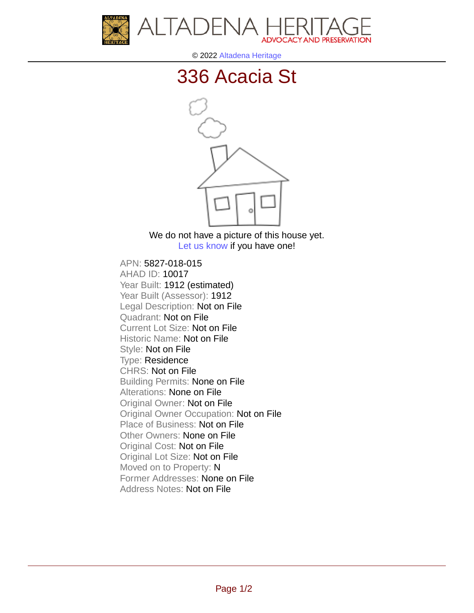



© 2022 [Altadena Heritage](http://altadenaheritage.org/)

## [336 Acacia St](ahad.altadenaheritagepdb.org/properties/10017)



We do not have a picture of this house yet. [Let us know](http://altadenaheritage.org/contact-us/) if you have one!

APN: 5827-018-015 [AHAD ID: 10017](ahad.altadenaheritagepdb.org/properties/10017) Year Built: 1912 (estimated) Year Built (Assessor): 1912 Legal Description: Not on File Quadrant: Not on File Current Lot Size: Not on File Historic Name: Not on File Style: Not on File Type: Residence CHRS: Not on File Building Permits: None on File Alterations: None on File Original Owner: Not on File Original Owner Occupation: Not on File Place of Business: Not on File Other Owners: None on File Original Cost: Not on File Original Lot Size: Not on File Moved on to Property: N Former Addresses: None on File Address Notes: Not on File